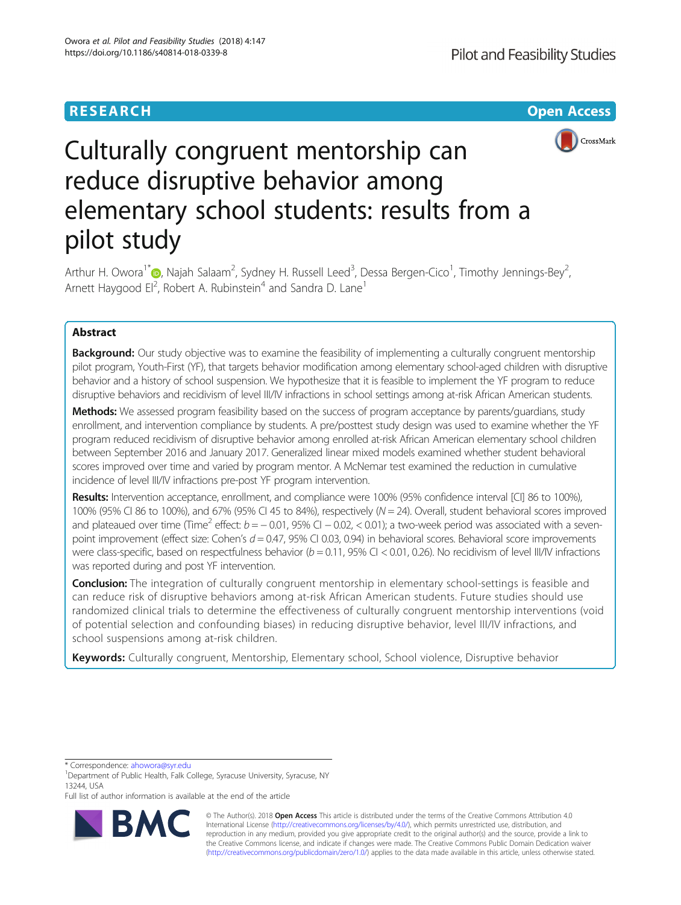# **RESEARCH CHEAR CHEAR CHEAR CHEAR CHEAR CHEAR CHEAR CHEAR CHEAR CHEAR CHEAR CHEAR CHEAR CHEAR CHEAR CHEAR CHEAR**



# Culturally congruent mentorship can reduce disruptive behavior among elementary school students: results from a pilot study

Arthur H. Owora<sup>1\*</sup> D[,](http://orcid.org/0000-0002-4580-7428) Najah Salaam<sup>2</sup>, Sydney H. Russell Leed<sup>3</sup>, Dessa Bergen-Cico<sup>1</sup>, Timothy Jennings-Bey<sup>2</sup> , Arnett Haygood El<sup>2</sup>, Robert A. Rubinstein<sup>4</sup> and Sandra D. Lane<sup>1</sup>

# Abstract

**Background:** Our study objective was to examine the feasibility of implementing a culturally congruent mentorship pilot program, Youth-First (YF), that targets behavior modification among elementary school-aged children with disruptive behavior and a history of school suspension. We hypothesize that it is feasible to implement the YF program to reduce disruptive behaviors and recidivism of level III/IV infractions in school settings among at-risk African American students.

Methods: We assessed program feasibility based on the success of program acceptance by parents/guardians, study enrollment, and intervention compliance by students. A pre/posttest study design was used to examine whether the YF program reduced recidivism of disruptive behavior among enrolled at-risk African American elementary school children between September 2016 and January 2017. Generalized linear mixed models examined whether student behavioral scores improved over time and varied by program mentor. A McNemar test examined the reduction in cumulative incidence of level III/IV infractions pre-post YF program intervention.

Results: Intervention acceptance, enrollment, and compliance were 100% (95% confidence interval [CI] 86 to 100%), 100% (95% CI 86 to 100%), and 67% (95% CI 45 to 84%), respectively (N = 24). Overall, student behavioral scores improved and plateaued over time (Time<sup>2</sup> effect:  $b = -0.01$ , 95% CI  $-0.02$ , < 0.01); a two-week period was associated with a sevenpoint improvement (effect size: Cohen's  $d = 0.47$ , 95% CI 0.03, 0.94) in behavioral scores. Behavioral score improvements were class-specific, based on respectfulness behavior ( $b = 0.11$ , 95% CI < 0.01, 0.26). No recidivism of level III/IV infractions was reported during and post YF intervention.

**Conclusion:** The integration of culturally congruent mentorship in elementary school-settings is feasible and can reduce risk of disruptive behaviors among at-risk African American students. Future studies should use randomized clinical trials to determine the effectiveness of culturally congruent mentorship interventions (void of potential selection and confounding biases) in reducing disruptive behavior, level III/IV infractions, and school suspensions among at-risk children.

Keywords: Culturally congruent, Mentorship, Elementary school, School violence, Disruptive behavior

\* Correspondence: [ahowora@syr.edu](mailto:ahowora@syr.edu) <sup>1</sup>

Full list of author information is available at the end of the article



© The Author(s). 2018 Open Access This article is distributed under the terms of the Creative Commons Attribution 4.0 International License [\(http://creativecommons.org/licenses/by/4.0/](http://creativecommons.org/licenses/by/4.0/)), which permits unrestricted use, distribution, and reproduction in any medium, provided you give appropriate credit to the original author(s) and the source, provide a link to the Creative Commons license, and indicate if changes were made. The Creative Commons Public Domain Dedication waiver [\(http://creativecommons.org/publicdomain/zero/1.0/](http://creativecommons.org/publicdomain/zero/1.0/)) applies to the data made available in this article, unless otherwise stated.

<sup>&</sup>lt;sup>1</sup>Department of Public Health, Falk College, Syracuse University, Syracuse, NY 13244, USA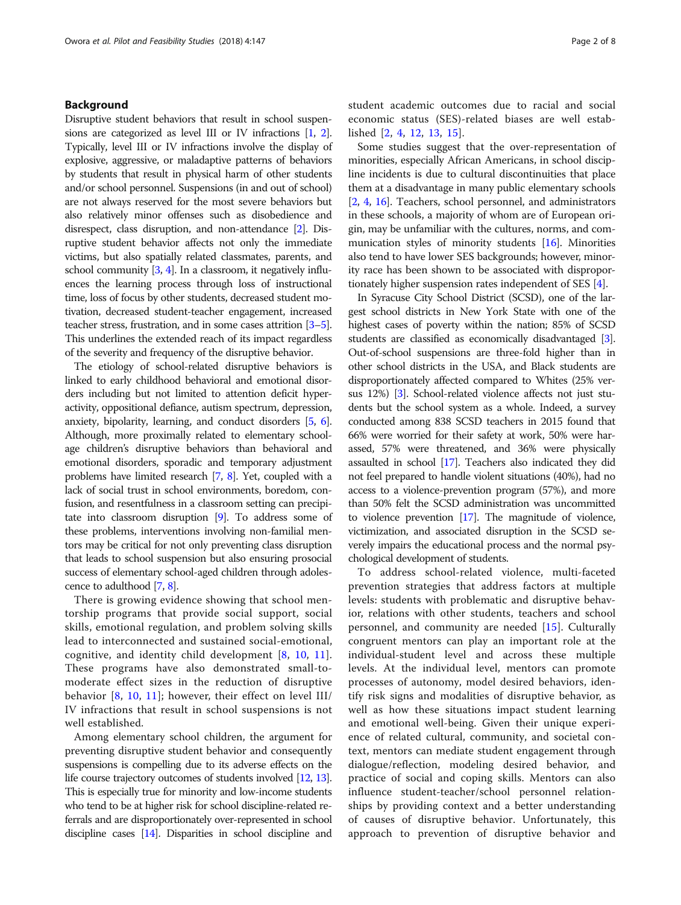# Background

Disruptive student behaviors that result in school suspensions are categorized as level III or IV infractions [[1](#page-6-0), [2](#page-6-0)]. Typically, level III or IV infractions involve the display of explosive, aggressive, or maladaptive patterns of behaviors by students that result in physical harm of other students and/or school personnel. Suspensions (in and out of school) are not always reserved for the most severe behaviors but also relatively minor offenses such as disobedience and disrespect, class disruption, and non-attendance [[2](#page-6-0)]. Disruptive student behavior affects not only the immediate victims, but also spatially related classmates, parents, and school community  $[3, 4]$  $[3, 4]$  $[3, 4]$ . In a classroom, it negatively influences the learning process through loss of instructional time, loss of focus by other students, decreased student motivation, decreased student-teacher engagement, increased teacher stress, frustration, and in some cases attrition [\[3](#page-6-0)–[5](#page-6-0)]. This underlines the extended reach of its impact regardless of the severity and frequency of the disruptive behavior.

The etiology of school-related disruptive behaviors is linked to early childhood behavioral and emotional disorders including but not limited to attention deficit hyperactivity, oppositional defiance, autism spectrum, depression, anxiety, bipolarity, learning, and conduct disorders [[5](#page-6-0), [6](#page-6-0)]. Although, more proximally related to elementary schoolage children's disruptive behaviors than behavioral and emotional disorders, sporadic and temporary adjustment problems have limited research [\[7](#page-6-0), [8](#page-6-0)]. Yet, coupled with a lack of social trust in school environments, boredom, confusion, and resentfulness in a classroom setting can precipitate into classroom disruption [[9](#page-6-0)]. To address some of these problems, interventions involving non-familial mentors may be critical for not only preventing class disruption that leads to school suspension but also ensuring prosocial success of elementary school-aged children through adolescence to adulthood [\[7](#page-6-0), [8](#page-6-0)].

There is growing evidence showing that school mentorship programs that provide social support, social skills, emotional regulation, and problem solving skills lead to interconnected and sustained social-emotional, cognitive, and identity child development [\[8](#page-6-0), [10](#page-6-0), [11](#page-6-0)]. These programs have also demonstrated small-tomoderate effect sizes in the reduction of disruptive behavior [\[8](#page-6-0), [10,](#page-6-0) [11\]](#page-6-0); however, their effect on level III/ IV infractions that result in school suspensions is not well established.

Among elementary school children, the argument for preventing disruptive student behavior and consequently suspensions is compelling due to its adverse effects on the life course trajectory outcomes of students involved [\[12](#page-6-0), [13](#page-6-0)]. This is especially true for minority and low-income students who tend to be at higher risk for school discipline-related referrals and are disproportionately over-represented in school discipline cases [\[14](#page-6-0)]. Disparities in school discipline and student academic outcomes due to racial and social economic status (SES)-related biases are well established [\[2](#page-6-0), [4](#page-6-0), [12,](#page-6-0) [13,](#page-6-0) [15\]](#page-7-0).

Some studies suggest that the over-representation of minorities, especially African Americans, in school discipline incidents is due to cultural discontinuities that place them at a disadvantage in many public elementary schools [[2,](#page-6-0) [4,](#page-6-0) [16](#page-7-0)]. Teachers, school personnel, and administrators in these schools, a majority of whom are of European origin, may be unfamiliar with the cultures, norms, and communication styles of minority students [\[16\]](#page-7-0). Minorities also tend to have lower SES backgrounds; however, minority race has been shown to be associated with disproportionately higher suspension rates independent of SES [\[4\]](#page-6-0).

In Syracuse City School District (SCSD), one of the largest school districts in New York State with one of the highest cases of poverty within the nation; 85% of SCSD students are classified as economically disadvantaged [[3](#page-6-0)]. Out-of-school suspensions are three-fold higher than in other school districts in the USA, and Black students are disproportionately affected compared to Whites (25% versus 12%) [[3](#page-6-0)]. School-related violence affects not just students but the school system as a whole. Indeed, a survey conducted among 838 SCSD teachers in 2015 found that 66% were worried for their safety at work, 50% were harassed, 57% were threatened, and 36% were physically assaulted in school [\[17\]](#page-7-0). Teachers also indicated they did not feel prepared to handle violent situations (40%), had no access to a violence-prevention program (57%), and more than 50% felt the SCSD administration was uncommitted to violence prevention [[17](#page-7-0)]. The magnitude of violence, victimization, and associated disruption in the SCSD severely impairs the educational process and the normal psychological development of students.

To address school-related violence, multi-faceted prevention strategies that address factors at multiple levels: students with problematic and disruptive behavior, relations with other students, teachers and school personnel, and community are needed [\[15](#page-7-0)]. Culturally congruent mentors can play an important role at the individual-student level and across these multiple levels. At the individual level, mentors can promote processes of autonomy, model desired behaviors, identify risk signs and modalities of disruptive behavior, as well as how these situations impact student learning and emotional well-being. Given their unique experience of related cultural, community, and societal context, mentors can mediate student engagement through dialogue/reflection, modeling desired behavior, and practice of social and coping skills. Mentors can also influence student-teacher/school personnel relationships by providing context and a better understanding of causes of disruptive behavior. Unfortunately, this approach to prevention of disruptive behavior and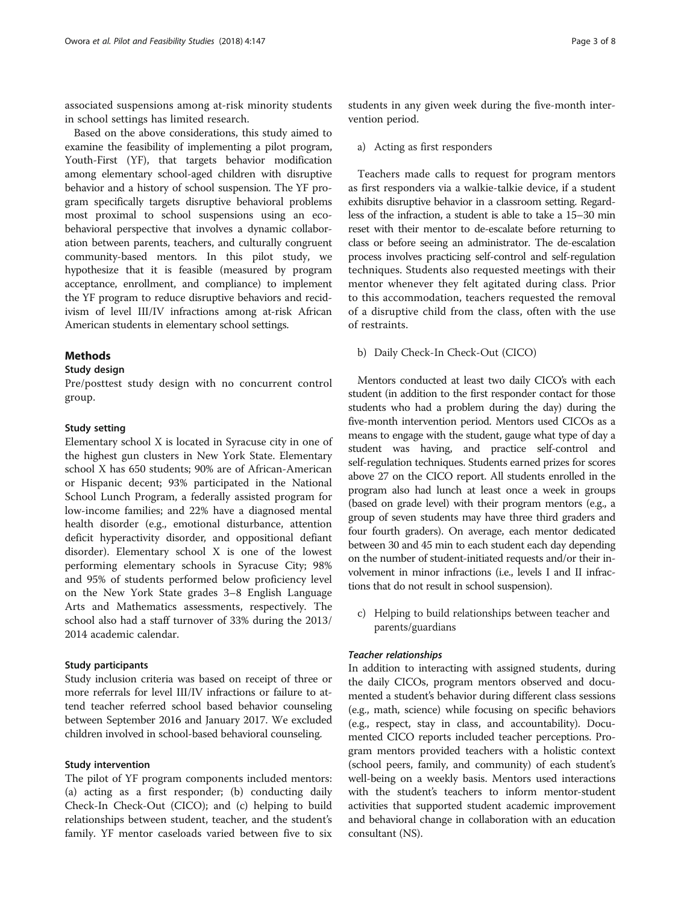associated suspensions among at-risk minority students in school settings has limited research.

Based on the above considerations, this study aimed to examine the feasibility of implementing a pilot program, Youth-First (YF), that targets behavior modification among elementary school-aged children with disruptive behavior and a history of school suspension. The YF program specifically targets disruptive behavioral problems most proximal to school suspensions using an ecobehavioral perspective that involves a dynamic collaboration between parents, teachers, and culturally congruent community-based mentors. In this pilot study, we hypothesize that it is feasible (measured by program acceptance, enrollment, and compliance) to implement the YF program to reduce disruptive behaviors and recidivism of level III/IV infractions among at-risk African American students in elementary school settings.

# Methods

# Study design

Pre/posttest study design with no concurrent control group.

# Study setting

Elementary school X is located in Syracuse city in one of the highest gun clusters in New York State. Elementary school X has 650 students; 90% are of African-American or Hispanic decent; 93% participated in the National School Lunch Program, a federally assisted program for low-income families; and 22% have a diagnosed mental health disorder (e.g., emotional disturbance, attention deficit hyperactivity disorder, and oppositional defiant disorder). Elementary school X is one of the lowest performing elementary schools in Syracuse City; 98% and 95% of students performed below proficiency level on the New York State grades 3–8 English Language Arts and Mathematics assessments, respectively. The school also had a staff turnover of 33% during the 2013/ 2014 academic calendar.

# Study participants

Study inclusion criteria was based on receipt of three or more referrals for level III/IV infractions or failure to attend teacher referred school based behavior counseling between September 2016 and January 2017. We excluded children involved in school-based behavioral counseling.

# Study intervention

The pilot of YF program components included mentors: (a) acting as a first responder; (b) conducting daily Check-In Check-Out (CICO); and (c) helping to build relationships between student, teacher, and the student's family. YF mentor caseloads varied between five to six

students in any given week during the five-month intervention period.

# a) Acting as first responders

Teachers made calls to request for program mentors as first responders via a walkie-talkie device, if a student exhibits disruptive behavior in a classroom setting. Regardless of the infraction, a student is able to take a 15–30 min reset with their mentor to de-escalate before returning to class or before seeing an administrator. The de-escalation process involves practicing self-control and self-regulation techniques. Students also requested meetings with their mentor whenever they felt agitated during class. Prior to this accommodation, teachers requested the removal of a disruptive child from the class, often with the use of restraints.

# b) Daily Check-In Check-Out (CICO)

Mentors conducted at least two daily CICO's with each student (in addition to the first responder contact for those students who had a problem during the day) during the five-month intervention period. Mentors used CICOs as a means to engage with the student, gauge what type of day a student was having, and practice self-control and self-regulation techniques. Students earned prizes for scores above 27 on the CICO report. All students enrolled in the program also had lunch at least once a week in groups (based on grade level) with their program mentors (e.g., a group of seven students may have three third graders and four fourth graders). On average, each mentor dedicated between 30 and 45 min to each student each day depending on the number of student-initiated requests and/or their involvement in minor infractions (i.e., levels I and II infractions that do not result in school suspension).

c) Helping to build relationships between teacher and parents/guardians

# Teacher relationships

In addition to interacting with assigned students, during the daily CICOs, program mentors observed and documented a student's behavior during different class sessions (e.g., math, science) while focusing on specific behaviors (e.g., respect, stay in class, and accountability). Documented CICO reports included teacher perceptions. Program mentors provided teachers with a holistic context (school peers, family, and community) of each student's well-being on a weekly basis. Mentors used interactions with the student's teachers to inform mentor-student activities that supported student academic improvement and behavioral change in collaboration with an education consultant (NS).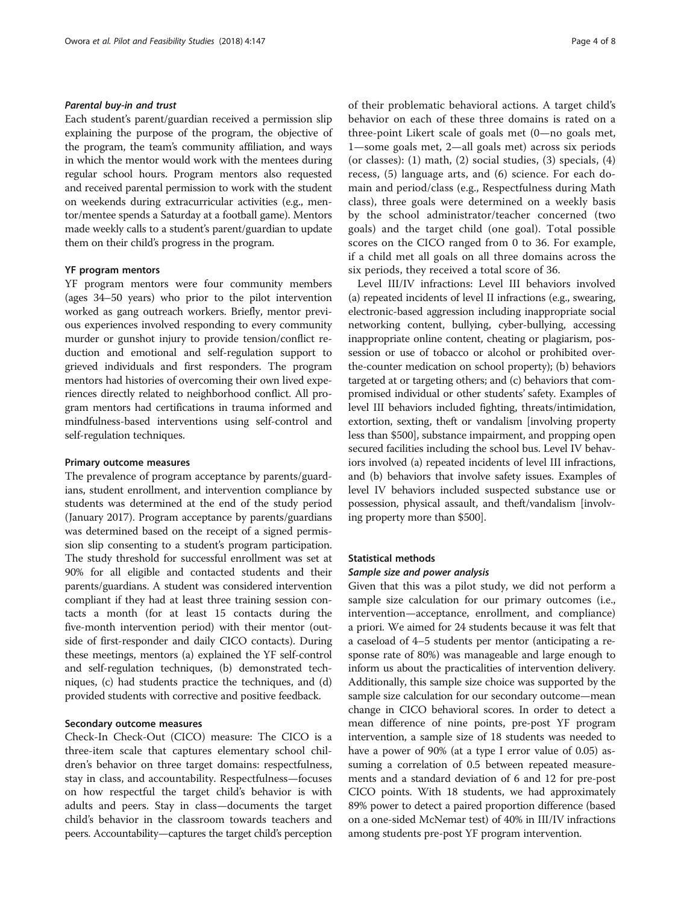# Parental buy-in and trust

Each student's parent/guardian received a permission slip explaining the purpose of the program, the objective of the program, the team's community affiliation, and ways in which the mentor would work with the mentees during regular school hours. Program mentors also requested and received parental permission to work with the student on weekends during extracurricular activities (e.g., mentor/mentee spends a Saturday at a football game). Mentors made weekly calls to a student's parent/guardian to update them on their child's progress in the program.

# YF program mentors

YF program mentors were four community members (ages 34–50 years) who prior to the pilot intervention worked as gang outreach workers. Briefly, mentor previous experiences involved responding to every community murder or gunshot injury to provide tension/conflict reduction and emotional and self-regulation support to grieved individuals and first responders. The program mentors had histories of overcoming their own lived experiences directly related to neighborhood conflict. All program mentors had certifications in trauma informed and mindfulness-based interventions using self-control and self-regulation techniques.

# Primary outcome measures

The prevalence of program acceptance by parents/guardians, student enrollment, and intervention compliance by students was determined at the end of the study period (January 2017). Program acceptance by parents/guardians was determined based on the receipt of a signed permission slip consenting to a student's program participation. The study threshold for successful enrollment was set at 90% for all eligible and contacted students and their parents/guardians. A student was considered intervention compliant if they had at least three training session contacts a month (for at least 15 contacts during the five-month intervention period) with their mentor (outside of first-responder and daily CICO contacts). During these meetings, mentors (a) explained the YF self-control and self-regulation techniques, (b) demonstrated techniques, (c) had students practice the techniques, and (d) provided students with corrective and positive feedback.

# Secondary outcome measures

Check-In Check-Out (CICO) measure: The CICO is a three-item scale that captures elementary school children's behavior on three target domains: respectfulness, stay in class, and accountability. Respectfulness—focuses on how respectful the target child's behavior is with adults and peers. Stay in class—documents the target child's behavior in the classroom towards teachers and peers. Accountability—captures the target child's perception of their problematic behavioral actions. A target child's behavior on each of these three domains is rated on a three-point Likert scale of goals met (0—no goals met, 1—some goals met, 2—all goals met) across six periods (or classes): (1) math, (2) social studies, (3) specials, (4) recess, (5) language arts, and (6) science. For each domain and period/class (e.g., Respectfulness during Math class), three goals were determined on a weekly basis by the school administrator/teacher concerned (two goals) and the target child (one goal). Total possible scores on the CICO ranged from 0 to 36. For example, if a child met all goals on all three domains across the six periods, they received a total score of 36.

Level III/IV infractions: Level III behaviors involved (a) repeated incidents of level II infractions (e.g., swearing, electronic-based aggression including inappropriate social networking content, bullying, cyber-bullying, accessing inappropriate online content, cheating or plagiarism, possession or use of tobacco or alcohol or prohibited overthe-counter medication on school property); (b) behaviors targeted at or targeting others; and (c) behaviors that compromised individual or other students' safety. Examples of level III behaviors included fighting, threats/intimidation, extortion, sexting, theft or vandalism [involving property less than \$500], substance impairment, and propping open secured facilities including the school bus. Level IV behaviors involved (a) repeated incidents of level III infractions, and (b) behaviors that involve safety issues. Examples of level IV behaviors included suspected substance use or possession, physical assault, and theft/vandalism [involving property more than \$500].

# Statistical methods

#### Sample size and power analysis

Given that this was a pilot study, we did not perform a sample size calculation for our primary outcomes (i.e., intervention—acceptance, enrollment, and compliance) a priori. We aimed for 24 students because it was felt that a caseload of 4–5 students per mentor (anticipating a response rate of 80%) was manageable and large enough to inform us about the practicalities of intervention delivery. Additionally, this sample size choice was supported by the sample size calculation for our secondary outcome—mean change in CICO behavioral scores. In order to detect a mean difference of nine points, pre-post YF program intervention, a sample size of 18 students was needed to have a power of 90% (at a type I error value of 0.05) assuming a correlation of 0.5 between repeated measurements and a standard deviation of 6 and 12 for pre-post CICO points. With 18 students, we had approximately 89% power to detect a paired proportion difference (based on a one-sided McNemar test) of 40% in III/IV infractions among students pre-post YF program intervention.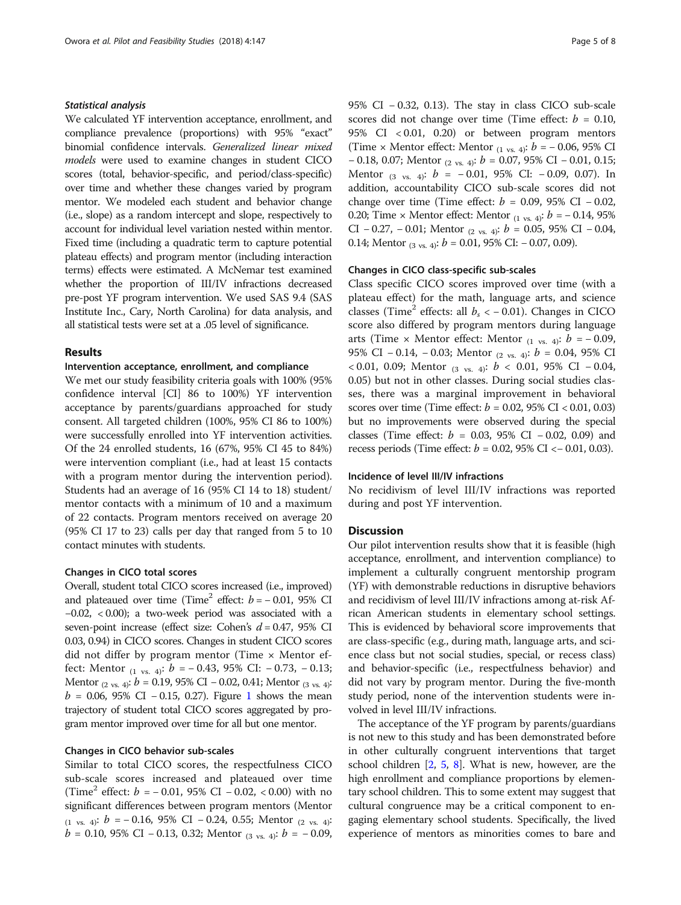# Statistical analysis

We calculated YF intervention acceptance, enrollment, and compliance prevalence (proportions) with 95% "exact" binomial confidence intervals. Generalized linear mixed models were used to examine changes in student CICO scores (total, behavior-specific, and period/class-specific) over time and whether these changes varied by program mentor. We modeled each student and behavior change (i.e., slope) as a random intercept and slope, respectively to account for individual level variation nested within mentor. Fixed time (including a quadratic term to capture potential plateau effects) and program mentor (including interaction terms) effects were estimated. A McNemar test examined whether the proportion of III/IV infractions decreased pre-post YF program intervention. We used SAS 9.4 (SAS Institute Inc., Cary, North Carolina) for data analysis, and all statistical tests were set at a .05 level of significance.

#### Results

# Intervention acceptance, enrollment, and compliance

We met our study feasibility criteria goals with 100% (95% confidence interval [CI] 86 to 100%) YF intervention acceptance by parents/guardians approached for study consent. All targeted children (100%, 95% CI 86 to 100%) were successfully enrolled into YF intervention activities. Of the 24 enrolled students, 16 (67%, 95% CI 45 to 84%) were intervention compliant (i.e., had at least 15 contacts with a program mentor during the intervention period). Students had an average of 16 (95% CI 14 to 18) student/ mentor contacts with a minimum of 10 and a maximum of 22 contacts. Program mentors received on average 20 (95% CI 17 to 23) calls per day that ranged from 5 to 10 contact minutes with students.

## Changes in CICO total scores

Overall, student total CICO scores increased (i.e., improved) and plateaued over time (Time<sup>2</sup> effect:  $b = -0.01,95\%$  CI −0.02, < 0.00); a two-week period was associated with a seven-point increase (effect size: Cohen's  $d = 0.47$ , 95% CI 0.03, 0.94) in CICO scores. Changes in student CICO scores did not differ by program mentor (Time × Mentor effect: Mentor  $_{(1 \text{ vs. } 4)}$ :  $b = -0.43, 95\%$  CI:  $-0.73, -0.13$ ; Mentor  $_{(2 \text{ vs. } 4)}$ : b = 0.19, 95% CI – 0.02, 0.41; Mentor  $_{(3 \text{ vs. } 4)}$ :  $b = 0.06, 95\% \text{ CI} - 0.15, 0.27$  $b = 0.06, 95\% \text{ CI} - 0.15, 0.27$  $b = 0.06, 95\% \text{ CI} - 0.15, 0.27$ . Figure 1 shows the mean trajectory of student total CICO scores aggregated by program mentor improved over time for all but one mentor.

# Changes in CICO behavior sub-scales

Similar to total CICO scores, the respectfulness CICO sub-scale scores increased and plateaued over time (Time<sup>2</sup> effect:  $b = -0.01,95\%$  CI  $-0.02, < 0.00$ ) with no significant differences between program mentors (Mentor  $(1 \text{ vs. } 4)$ :  $b = -0.16$ , 95% CI − 0.24, 0.55; Mentor  $(2 \text{ vs. } 4)$ :  $b = 0.10, 95\%$  CI − 0.13, 0.32; Mentor <sub>(3 vs. 4)</sub>:  $b = -0.09$ , 95% CI − 0.32, 0.13). The stay in class CICO sub-scale scores did not change over time (Time effect:  $b = 0.10$ , 95% CI < 0.01, 0.20) or between program mentors (Time × Mentor effect: Mentor  $_{(1 \text{ vs. } 4)}$ :  $b = -0.06, 95\%$  CI  $-0.18$ , 0.07; Mentor <sub>(2 vs. 4)</sub>:  $b = 0.07$ , 95% CI  $-0.01$ , 0.15; Mentor  $(3 \text{ vs. } 4)$ :  $b = -0.01, 95\%$  CI:  $-0.09, 0.07$ ). In addition, accountability CICO sub-scale scores did not change over time (Time effect:  $b = 0.09, 95\%$  CI – 0.02, 0.20; Time × Mentor effect: Mentor  $_{(1 \text{ vs. } 4)}$ :  $b = -0.14, 95\%$ CI − 0.27, − 0.01; Mentor  $(2 \text{ vs. } 4)$ :  $b = 0.05$ , 95% CI − 0.04, 0.14; Mentor  $_{(3 \text{ vs. } 4)}$ :  $b = 0.01$ , 95% CI:  $-0.07$ , 0.09).

# Changes in CICO class-specific sub-scales

Class specific CICO scores improved over time (with a plateau effect) for the math, language arts, and science classes (Time<sup>2</sup> effects: all  $b_s < -0.01$ ). Changes in CICO score also differed by program mentors during language arts (Time × Mentor effect: Mentor  $(1 \text{ vs. } 4)$ :  $b = -0.09$ , 95% CI − 0.14, − 0.03; Mentor <sub>(2 vs. 4)</sub>: *b* = 0.04, 95% CI < 0.01, 0.09; Mentor  $(3 \text{ vs. } 4)$ :  $b < 0.01$ , 95% CI – 0.04, 0.05) but not in other classes. During social studies classes, there was a marginal improvement in behavioral scores over time (Time effect:  $b = 0.02, 95\% \text{ CI} < 0.01, 0.03$ ) but no improvements were observed during the special classes (Time effect:  $b = 0.03, 95\%$  CI  $-0.02, 0.09$ ) and recess periods (Time effect:  $b = 0.02, 95\% \text{ CI} < 0.01, 0.03$ ).

# Incidence of level III/IV infractions

No recidivism of level III/IV infractions was reported during and post YF intervention.

## **Discussion**

Our pilot intervention results show that it is feasible (high acceptance, enrollment, and intervention compliance) to implement a culturally congruent mentorship program (YF) with demonstrable reductions in disruptive behaviors and recidivism of level III/IV infractions among at-risk African American students in elementary school settings. This is evidenced by behavioral score improvements that are class-specific (e.g., during math, language arts, and science class but not social studies, special, or recess class) and behavior-specific (i.e., respectfulness behavior) and did not vary by program mentor. During the five-month study period, none of the intervention students were involved in level III/IV infractions.

The acceptance of the YF program by parents/guardians is not new to this study and has been demonstrated before in other culturally congruent interventions that target school children  $[2, 5, 8]$  $[2, 5, 8]$  $[2, 5, 8]$  $[2, 5, 8]$  $[2, 5, 8]$  $[2, 5, 8]$  $[2, 5, 8]$ . What is new, however, are the high enrollment and compliance proportions by elementary school children. This to some extent may suggest that cultural congruence may be a critical component to engaging elementary school students. Specifically, the lived experience of mentors as minorities comes to bare and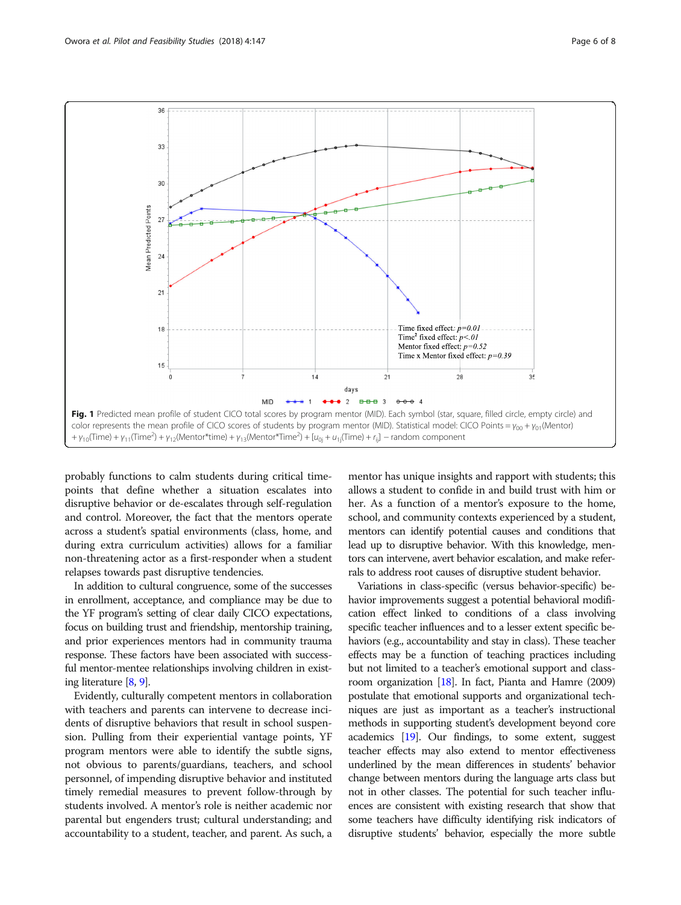<span id="page-5-0"></span>

probably functions to calm students during critical timepoints that define whether a situation escalates into disruptive behavior or de-escalates through self-regulation and control. Moreover, the fact that the mentors operate across a student's spatial environments (class, home, and during extra curriculum activities) allows for a familiar non-threatening actor as a first-responder when a student relapses towards past disruptive tendencies.

In addition to cultural congruence, some of the successes in enrollment, acceptance, and compliance may be due to the YF program's setting of clear daily CICO expectations, focus on building trust and friendship, mentorship training, and prior experiences mentors had in community trauma response. These factors have been associated with successful mentor-mentee relationships involving children in existing literature [\[8](#page-6-0), [9\]](#page-6-0).

Evidently, culturally competent mentors in collaboration with teachers and parents can intervene to decrease incidents of disruptive behaviors that result in school suspension. Pulling from their experiential vantage points, YF program mentors were able to identify the subtle signs, not obvious to parents/guardians, teachers, and school personnel, of impending disruptive behavior and instituted timely remedial measures to prevent follow-through by students involved. A mentor's role is neither academic nor parental but engenders trust; cultural understanding; and accountability to a student, teacher, and parent. As such, a

mentor has unique insights and rapport with students; this allows a student to confide in and build trust with him or her. As a function of a mentor's exposure to the home, school, and community contexts experienced by a student, mentors can identify potential causes and conditions that lead up to disruptive behavior. With this knowledge, mentors can intervene, avert behavior escalation, and make referrals to address root causes of disruptive student behavior.

Variations in class-specific (versus behavior-specific) behavior improvements suggest a potential behavioral modification effect linked to conditions of a class involving specific teacher influences and to a lesser extent specific behaviors (e.g., accountability and stay in class). These teacher effects may be a function of teaching practices including but not limited to a teacher's emotional support and classroom organization  $[18]$ . In fact, Pianta and Hamre (2009) postulate that emotional supports and organizational techniques are just as important as a teacher's instructional methods in supporting student's development beyond core academics [\[19](#page-7-0)]. Our findings, to some extent, suggest teacher effects may also extend to mentor effectiveness underlined by the mean differences in students' behavior change between mentors during the language arts class but not in other classes. The potential for such teacher influences are consistent with existing research that show that some teachers have difficulty identifying risk indicators of disruptive students' behavior, especially the more subtle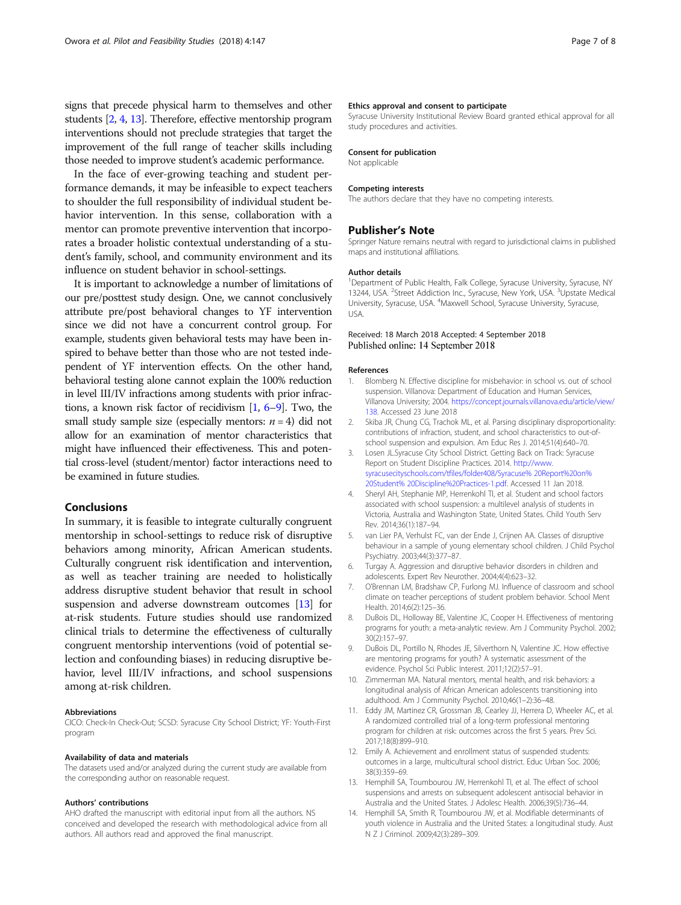<span id="page-6-0"></span>signs that precede physical harm to themselves and other students [2, 4, 13]. Therefore, effective mentorship program interventions should not preclude strategies that target the improvement of the full range of teacher skills including those needed to improve student's academic performance.

In the face of ever-growing teaching and student performance demands, it may be infeasible to expect teachers to shoulder the full responsibility of individual student behavior intervention. In this sense, collaboration with a mentor can promote preventive intervention that incorporates a broader holistic contextual understanding of a student's family, school, and community environment and its influence on student behavior in school-settings.

It is important to acknowledge a number of limitations of our pre/posttest study design. One, we cannot conclusively attribute pre/post behavioral changes to YF intervention since we did not have a concurrent control group. For example, students given behavioral tests may have been inspired to behave better than those who are not tested independent of YF intervention effects. On the other hand, behavioral testing alone cannot explain the 100% reduction in level III/IV infractions among students with prior infractions, a known risk factor of recidivism [1, 6–9]. Two, the small study sample size (especially mentors:  $n = 4$ ) did not allow for an examination of mentor characteristics that might have influenced their effectiveness. This and potential cross-level (student/mentor) factor interactions need to be examined in future studies.

# Conclusions

In summary, it is feasible to integrate culturally congruent mentorship in school-settings to reduce risk of disruptive behaviors among minority, African American students. Culturally congruent risk identification and intervention, as well as teacher training are needed to holistically address disruptive student behavior that result in school suspension and adverse downstream outcomes [13] for at-risk students. Future studies should use randomized clinical trials to determine the effectiveness of culturally congruent mentorship interventions (void of potential selection and confounding biases) in reducing disruptive behavior, level III/IV infractions, and school suspensions among at-risk children.

#### Abbreviations

CICO: Check-In Check-Out; SCSD: Syracuse City School District; YF: Youth-First program

#### Availability of data and materials

The datasets used and/or analyzed during the current study are available from the corresponding author on reasonable request.

#### Authors' contributions

AHO drafted the manuscript with editorial input from all the authors. NS conceived and developed the research with methodological advice from all authors. All authors read and approved the final manuscript.

#### Ethics approval and consent to participate

Syracuse University Institutional Review Board granted ethical approval for all study procedures and activities.

#### Consent for publication

Not applicable

#### Competing interests

The authors declare that they have no competing interests.

# Publisher's Note

Springer Nature remains neutral with regard to jurisdictional claims in published maps and institutional affiliations.

#### Author details

<sup>1</sup>Department of Public Health, Falk College, Syracuse University, Syracuse, NY 13244, USA. <sup>2</sup> Street Addiction Inc., Syracuse, New York, USA. <sup>3</sup> Upstate Medical University, Syracuse, USA. <sup>4</sup>Maxwell School, Syracuse University, Syracuse, USA.

# Received: 18 March 2018 Accepted: 4 September 2018 Published online: 14 September 2018

#### References

- 1. Blomberg N. Effective discipline for misbehavior: in school vs. out of school suspension. Villanova: Department of Education and Human Services, Villanova University; 2004. [https://concept.journals.villanova.edu/article/view/](https://concept.journals.villanova.edu/article/view/138) [138.](https://concept.journals.villanova.edu/article/view/138) Accessed 23 June 2018
- 2. Skiba JR, Chung CG, Trachok ML, et al. Parsing disciplinary disproportionality: contributions of infraction, student, and school characteristics to out-ofschool suspension and expulsion. Am Educ Res J. 2014;51(4):640–70.
- 3. Losen JL.Syracuse City School District. Getting Back on Track: Syracuse Report on Student Discipline Practices. 2014. [http://www.](http://www.syracusecityschools.com/tfiles/folder408/Syracuse%25%2020Report%20on%25%2020Student%25%2020Discipline%20Practices-1.pdf) [syracusecityschools.com/tfiles/folder408/Syracuse% 20Report%20on%](http://www.syracusecityschools.com/tfiles/folder408/Syracuse%25%2020Report%20on%25%2020Student%25%2020Discipline%20Practices-1.pdf) [20Student% 20Discipline%20Practices-1.pdf](http://www.syracusecityschools.com/tfiles/folder408/Syracuse%25%2020Report%20on%25%2020Student%25%2020Discipline%20Practices-1.pdf). Accessed 11 Jan 2018.
- 4. Sheryl AH, Stephanie MP, Herrenkohl TI, et al. Student and school factors associated with school suspension: a multilevel analysis of students in Victoria, Australia and Washington State, United States. Child Youth Serv Rev. 2014;36(1):187–94.
- 5. van Lier PA, Verhulst FC, van der Ende J, Crijnen AA. Classes of disruptive behaviour in a sample of young elementary school children. J Child Psychol Psychiatry. 2003;44(3):377–87.
- 6. Turgay A. Aggression and disruptive behavior disorders in children and adolescents. Expert Rev Neurother. 2004;4(4):623–32.
- 7. O'Brennan LM, Bradshaw CP, Furlong MJ. Influence of classroom and school climate on teacher perceptions of student problem behavior. School Ment Health. 2014;6(2):125–36.
- 8. DuBois DL, Holloway BE, Valentine JC, Cooper H. Effectiveness of mentoring programs for youth: a meta-analytic review. Am J Community Psychol. 2002; 30(2):157–97.
- 9. DuBois DL, Portillo N, Rhodes JE, Silverthorn N, Valentine JC. How effective are mentoring programs for youth? A systematic assessment of the evidence. Psychol Sci Public Interest. 2011;12(2):57–91.
- 10. Zimmerman MA. Natural mentors, mental health, and risk behaviors: a longitudinal analysis of African American adolescents transitioning into adulthood. Am J Community Psychol. 2010;46(1–2):36–48.
- 11. Eddy JM, Martinez CR, Grossman JB, Cearley JJ, Herrera D, Wheeler AC, et al. A randomized controlled trial of a long-term professional mentoring program for children at risk: outcomes across the first 5 years. Prev Sci. 2017;18(8):899–910.
- 12. Emily A. Achievement and enrollment status of suspended students: outcomes in a large, multicultural school district. Educ Urban Soc. 2006; 38(3):359–69.
- 13. Hemphill SA, Toumbourou JW, Herrenkohl TI, et al. The effect of school suspensions and arrests on subsequent adolescent antisocial behavior in Australia and the United States. J Adolesc Health. 2006;39(5):736–44.
- 14. Hemphill SA, Smith R, Toumbourou JW, et al. Modifiable determinants of youth violence in Australia and the United States: a longitudinal study. Aust N Z J Criminol. 2009;42(3):289–309.